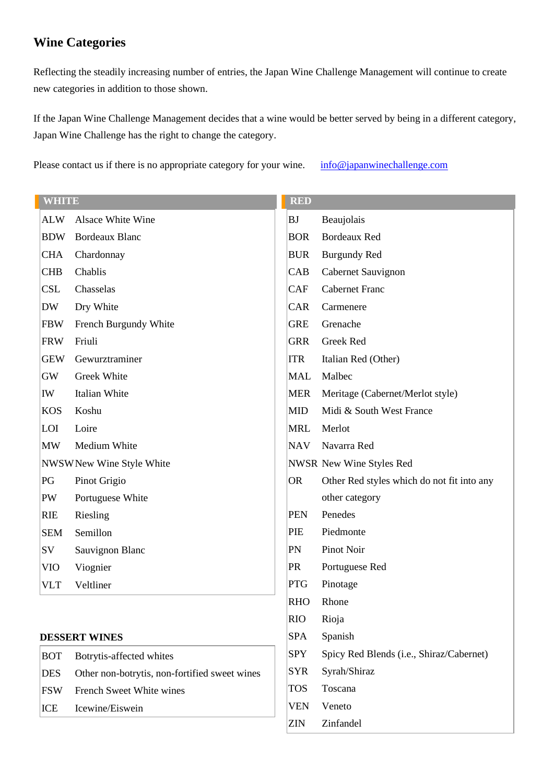# **Wine Categories**

Reflecting the steadily increasing number of entries, the Japan Wine Challenge Management will continue to create new categories in addition to those shown.

If the Japan Wine Challenge Management decides that a wine would be better served by being in a different category, Japan Wine Challenge has the right to change the category.

Please contact us if there is no appropriate category for your wine. [info@japanwinechallenge.com](mailto:info@japanwinechallenge.com)

| <b>WHITE</b>             |                                               |                 |                                            |
|--------------------------|-----------------------------------------------|-----------------|--------------------------------------------|
| <b>ALW</b>               | Alsace White Wine                             | BJ              | Beaujolais                                 |
| <b>BDW</b>               | <b>Bordeaux Blanc</b>                         | <b>BOR</b>      | <b>Bordeaux Red</b>                        |
| <b>CHA</b>               | Chardonnay                                    | <b>BUR</b>      | <b>Burgundy Red</b>                        |
| <b>CHB</b>               | Chablis                                       | CAB             | Cabernet Sauvignon                         |
| <b>CSL</b>               | Chasselas                                     | CAF             | <b>Cabernet Franc</b>                      |
| <b>DW</b>                | Dry White                                     | CAR             | Carmenere                                  |
| <b>FBW</b>               | French Burgundy White                         | <b>GRE</b>      | Grenache                                   |
| <b>FRW</b>               | Friuli                                        | <b>GRR</b>      | Greek Red                                  |
| <b>GEW</b>               | Gewurztraminer                                | <b>ITR</b>      | Italian Red (Other)                        |
| <b>GW</b>                | Greek White                                   | <b>MAL</b>      | Malbec                                     |
| IW                       | Italian White                                 | <b>MER</b>      | Meritage (Cabernet/Merlot style)           |
| <b>KOS</b>               | Koshu                                         | <b>MID</b>      | Midi & South West France                   |
| LOI                      | Loire                                         | <b>MRL</b>      | Merlot                                     |
| <b>MW</b>                | Medium White                                  | <b>NAV</b>      | Navarra Red                                |
| NWSWNew Wine Style White |                                               |                 | NWSR New Wine Styles Red                   |
| PG                       | Pinot Grigio                                  | OR <sub>.</sub> | Other Red styles which do not fit into any |
| PW                       | Portuguese White                              |                 | other category                             |
| <b>RIE</b>               | Riesling                                      | <b>PEN</b>      | Penedes                                    |
| <b>SEM</b>               | Semillon                                      | PIE             | Piedmonte                                  |
| SV                       | Sauvignon Blanc                               | PN              | Pinot Noir                                 |
| <b>VIO</b>               | Viognier                                      | <b>PR</b>       | Portuguese Red                             |
| <b>VLT</b>               | Veltliner                                     | <b>PTG</b>      | Pinotage                                   |
|                          |                                               | <b>RHO</b>      | Rhone                                      |
|                          |                                               | <b>RIO</b>      | Rioja                                      |
| <b>DESSERT WINES</b>     |                                               | <b>SPA</b>      | Spanish                                    |
| <b>BOT</b>               | Botrytis-affected whites                      | <b>SPY</b>      | Spicy Red Blends (i.e., Shiraz/Cabernet)   |
| <b>DES</b>               | Other non-botrytis, non-fortified sweet wines | <b>SYR</b>      | Syrah/Shiraz                               |
| <b>FSW</b>               | French Sweet White wines                      | <b>TOS</b>      | Toscana                                    |
| ICE                      | Icewine/Eiswein                               | <b>VEN</b>      | Veneto                                     |
|                          |                                               | ZIN             | Zinfandel                                  |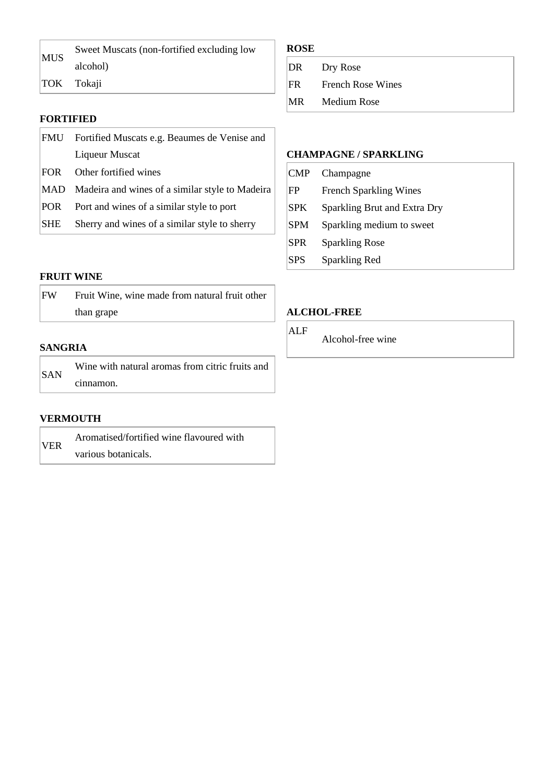| <b>MUS</b> | Sweet Muscats (non-fortified excluding low |
|------------|--------------------------------------------|
|            | alcohol)                                   |
|            | $ TOK$ Tokaji                              |

### **FORTIFIED**

| FMU - | Fortified Muscats e.g. Beaumes de Venise and    |  |
|-------|-------------------------------------------------|--|
|       | Liqueur Muscat                                  |  |
| FOR - | Other fortified wines                           |  |
| MAD   | Madeira and wines of a similar style to Madeira |  |
| POR.  | Port and wines of a similar style to port       |  |
| SHE   | Sherry and wines of a similar style to sherry   |  |

#### **FRUIT WINE**

| FW | Fruit Wine, wine made from natural fruit other |
|----|------------------------------------------------|
|    | than grape                                     |

#### **SANGRIA**

| <b>SAN</b> | Wine with natural aromas from citric fruits and |
|------------|-------------------------------------------------|
|            | cinnamon.                                       |

#### **VERMOUTH**

| <b>VER</b> | Aromatised/fortified wine flavoured with |
|------------|------------------------------------------|
|            | various botanicals.                      |

### **ROSE**

| DR   | Dry Rose                 |
|------|--------------------------|
| IFR. | <b>French Rose Wines</b> |
| MR   | Medium Rose              |

### **CHAMPAGNE / SPARKLING**

| $ $ CMP    | Champagne                     |
|------------|-------------------------------|
| FP         | <b>French Sparkling Wines</b> |
| <b>SPK</b> | Sparkling Brut and Extra Dry  |
| SPM        | Sparkling medium to sweet     |
| <b>SPR</b> | <b>Sparkling Rose</b>         |
| <b>SPS</b> | Sparkling Red                 |

### **ALCHOL-FREE**

ALF

Alcohol-free wine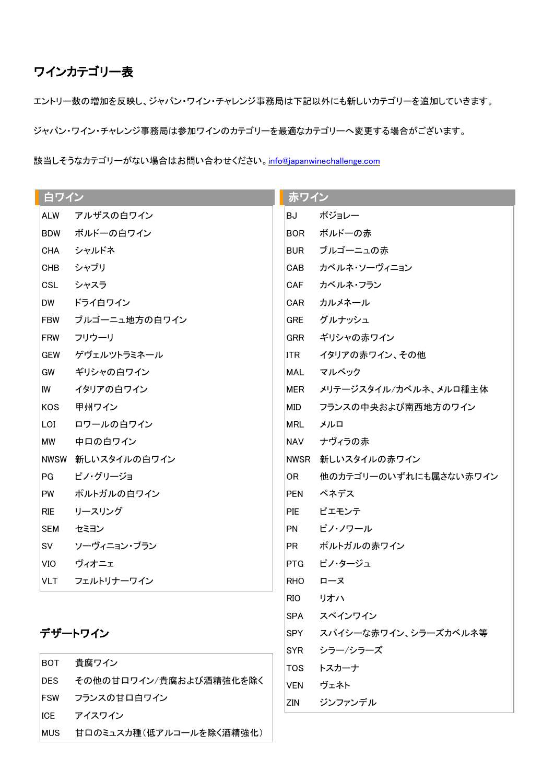# ワインカテゴリー表

エントリー数の増加を反映し、ジャパン・ワイン・チャレンジ事務局は下記以外にも新しいカテゴリーを追加していきます。

ジャパン・ワイン・チャレンジ事務局は参加ワインのカテゴリーを最適なカテゴリーへ変更する場合がございます。

該当しそうなカテゴリーがない場合はお問い合わせください。[info@japanwinechallenge.com](mailto:info@japanwinechallenge.com)

| 白ワイン        |               | 赤ワイン       |                       |  |
|-------------|---------------|------------|-----------------------|--|
| <b>ALW</b>  | アルザスの白ワイン     | BJ         | ボジョレー                 |  |
| <b>BDW</b>  | ボルドーの白ワイン     | BOR.       | ボルドーの赤                |  |
| CHA         | シャルドネ         | BUR        | ブルゴーニュの赤              |  |
| CHB         | シャブリ          | CAB        | カベルネ・ソーヴィニョン          |  |
| <b>CSL</b>  | シャスラ          | CAF        | カベルネ・フラン              |  |
| DW.         | ドライ白ワイン       | CAR        | カルメネール                |  |
| <b>FBW</b>  | ブルゴーニュ地方の白ワイン | <b>GRE</b> | グルナッシュ                |  |
| <b>FRW</b>  | フリウーリ         | GRR        | ギリシャの赤ワイン             |  |
| <b>GEW</b>  | ゲヴェルツトラミネール   | ITR I      | イタリアの赤ワイン、その他         |  |
| GW          | ギリシャの白ワイン     | MAL        | マルベック                 |  |
| IW          | イタリアの白ワイン     | MER        | メリテージスタイル/カベルネ、メルロ種主体 |  |
| <b>KOS</b>  | 甲州ワイン         | MID        | フランスの中央および南西地方のワイン    |  |
| LOI         | ロワールの白ワイン     | MRL        | メルロ                   |  |
| МW          | 中口の白ワイン       | NAV        | ナヴィラの赤                |  |
| <b>NWSW</b> | 新しいスタイルの白ワイン  |            | NWSR 新しいスタイルの赤ワイン     |  |
| PG.         | ピノ・グリージョ      | OR.        | 他のカテゴリーのいずれにも属さない赤ワイン |  |
| PW          | ポルトガルの白ワイン    | PEN        | ペネデス                  |  |
| <b>RIE</b>  | リースリング        | PIE        | ピエモンテ                 |  |
| <b>SEM</b>  | セミヨン          | PN         | ピノ・ノワール               |  |
| SV          | ソーヴィニョン・ブラン   | PR         | ポルトガルの赤ワイン            |  |
| VIO.        | ヴィオニェ         | PTG        | ピノ・タージュ               |  |
| <b>VLT</b>  | フェルトリナーワイン    | RHO.       | ローヌ                   |  |
|             |               | RIO        | リオハ                   |  |
|             |               | <b>SPA</b> | スペインワイン               |  |
|             | デザートワイン       | <b>SPY</b> | スパイシーな赤ワイン、シラーズカベルネ等  |  |

SYR シラー/シラーズ

ZIN ジンファンデル

TOS トスカーナ VEN ヴェネト

| <b>BOT</b>  | 貴腐ワイン                       |
|-------------|-----------------------------|
| <b>IDES</b> | その他の甘ロワイン/貴腐および酒精強化を除く      |
| ∣FSW ⊺      | フランスの甘口白ワイン                 |
| ICE         | アイスワイン                      |
|             | MUS 甘口のミュスカ種(低アルコールを除く酒精強化) |